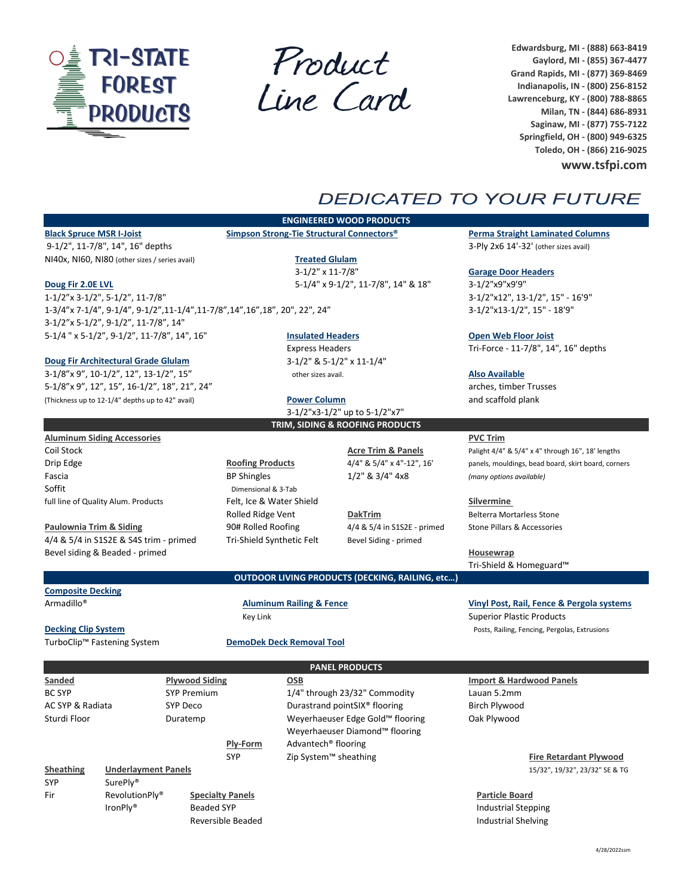

Product<br>Line Card

**Edwardsburg, MI ‐ (888) 663‐8419 Gaylord, MI ‐ (855) 367‐4477 Grand Rapids, MI ‐ (877) 369‐8469 Indianapolis, IN ‐ (800) 256‐8152 Lawrenceburg, KY ‐ (800) 788‐8865 Milan, TN ‐ (844) 686‐8931 Saginaw, MI ‐ (877) 755‐7122 Springfield, OH ‐ (800) 949‐6325 Toledo, OH ‐ (866) 216‐9025**

**www.tsfpi.com**

# **DEDICATED TO YOUR FUTURE**

9‐1/2", 11‐7/8", 14", 16" depths 3‐Ply 2x6 14'‐32' (other sizes avail) NI40x, NI60, NI80 (other sizes / series avail) **Treated Glulam**

‐1/2"x 3‐1/2", 5‐1/2", 11‐7/8" 3‐1/2"x12", 13‐1/2", 15" ‐ 16'9" ‐3/4"x 7‐1/4", 9‐1/4", 9‐1/2",11‐1/4",11‐7/8",14",16",18", 20", 22", 24" 3‐1/2"x13‐1/2", 15" ‐ 18'9" ‐1/2"x 5‐1/2", 9‐1/2", 11‐7/8", 14" ‐1/4 " x 5‐1/2", 9‐1/2", 11‐7/8", 14", 16" **Insulated Headers Open Web Floor Joist**

Soffit Dimensional & 3-Tab

### **Doug Fir Architectural Grade Glulam** 3‐1/2" & 5‐1/2" x 11‐1/4"

3‐1/8"x 9", 10‐1/2", 12", 13‐1/2", 15" other sizes avail. **Also Available** 5‐1/8"x 9", 12", 15", 16‐1/2", 18", 21", 24" arches, timber Trusses (Thickness up to 12‐1/4" depths up to 42" avail) **Power Column** and scaffold plank

## **ENGINEERED WOOD PRODUCTS**

3‐1/2" x 11‐7/8" **Garage Door Headers Doug Fir 2.0E LVL** 5‐1/4" x 9‐1/2", 11‐7/8", 14" & 18" 3‐1/2"x9"x9'9"

3‐1/2"x3‐1/2" up to 5‐1/2"x7" **TRIM, SIDING & ROOFING PRODUCTS**

**OUTDOOR LIVING PRODUCTS (DECKING, RAILING, etc…)**

Rolled Ridge Vent **DakTrim DakTrim** Belterra Mortarless Stone **Paulownia Trim & Siding** 90# Rolled Roofing 4/4 & 5/4 in S1S2E ‐ primed Stone Pillars & Accessories 4/4 & 5/4 in S1S2E & S4S trim - primed Tri-Shield Synthetic Felt Bevel Siding - primed

**Black Spruce MSR I‐Joist Simpson Strong‐Tie Structural Connectors® Perma Straight Laminated Columns**

Express Headers Tri-Force - 11-7/8", 14", 16" depths

### **Aluminum Siding Accessories PVC Trim**

Coil Stock **Acre Trim & Panels** Palight 4/4" & 5/4" x 4" through 16", 18' lengths Drip Edge **Roofing Products** 4/4" & 5/4" x 4"-12", 16' panels, mouldings, bead board, skirt board, corners Fascia BP Shingles 1/2" & 3/4" 4x8 *(many options available)*

full line of Quality Alum. Products Felt, Ice & Water Shield **Silvermine**

Bevel siding & Beaded ‐ primed **Housewrap** Tri‐Shield & Homeguard™

**Composite Decking**

Armadillo® **Aluminum Railing & Fence Vinyl Post, Rail, Fence & Pergola systems** Key Link Superior Plastic Products

**Decking Clip System** Posts, Railing, Fencing, Pergolas, Extrusions

### TurboClip™ Fastening System **DemoDek Deck Removal Tool**

**Sanded Plywood Siding OSB Import & Hardwood Panels** BC SYP SYP Premium 1/4" through 23/32" Commodity Lauan 5.2mm AC SYP & Radiata SYP Deco Birch Plywood Durastrand pointSIX® flooring Birch Plywood Sturdi Floor Duratemp Weyerhaeuser Edge Gold™ flooring Oak Plywood Weyerhaeuser Diamond™ flooring **Ply‐Form** Advantech® flooring SYP Zip System™ sheathing **Fire Retardant Plywood Sheathing Underlayment Panels** 15/32", 19/32", 23/32" SE & TG SYP SurePly<sup>®</sup> Fir RevolutionPly® **Specialty Panels Particle Board** IronPly® Beaded SYP **Industrial Stepping** Reversible Beaded **Industrial Shelving Industrial Shelving PANEL PRODUCTS**